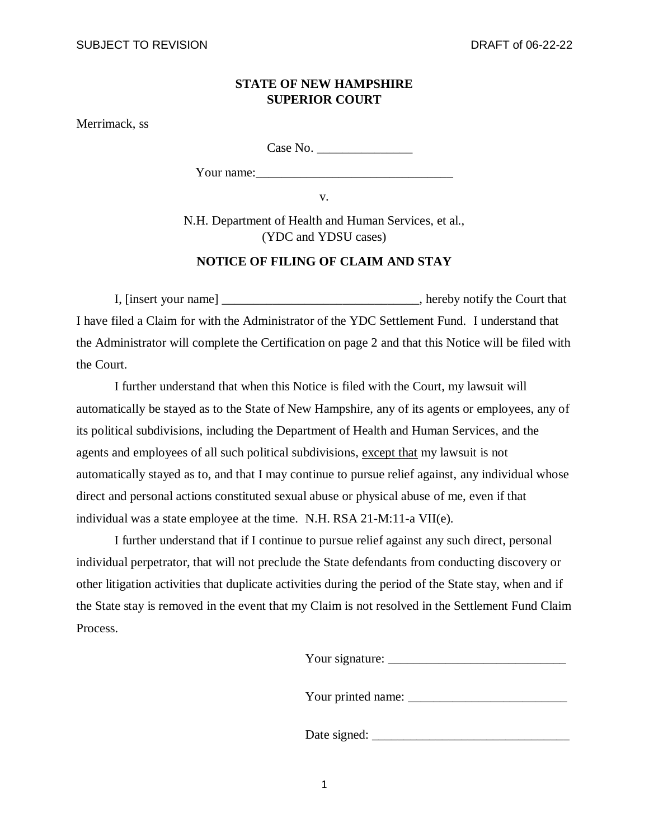## **STATE OF NEW HAMPSHIRE SUPERIOR COURT**

Merrimack, ss

Case No.

Your name:

v.

N.H. Department of Health and Human Services, et al., (YDC and YDSU cases)

## **NOTICE OF FILING OF CLAIM AND STAY**

I, [insert your name] hereby notify the Court that I have filed a Claim for with the Administrator of the YDC Settlement Fund. I understand that the Administrator will complete the Certification on page 2 and that this Notice will be filed with the Court.

I further understand that when this Notice is filed with the Court, my lawsuit will automatically be stayed as to the State of New Hampshire, any of its agents or employees, any of its political subdivisions, including the Department of Health and Human Services, and the agents and employees of all such political subdivisions, except that my lawsuit is not automatically stayed as to, and that I may continue to pursue relief against, any individual whose direct and personal actions constituted sexual abuse or physical abuse of me, even if that individual was a state employee at the time. N.H. RSA 21-M:11-a VII(e).

I further understand that if I continue to pursue relief against any such direct, personal individual perpetrator, that will not preclude the State defendants from conducting discovery or other litigation activities that duplicate activities during the period of the State stay, when and if the State stay is removed in the event that my Claim is not resolved in the Settlement Fund Claim Process.

Your signature: \_\_\_\_\_\_\_\_\_\_\_\_\_\_\_\_\_\_\_\_\_\_\_\_\_\_\_\_

Your printed name: \_\_\_\_\_\_\_\_\_\_\_\_\_\_\_\_\_\_\_\_\_\_\_\_\_

Date signed: \_\_\_\_\_\_\_\_\_\_\_\_\_\_\_\_\_\_\_\_\_\_\_\_\_\_\_\_\_\_\_